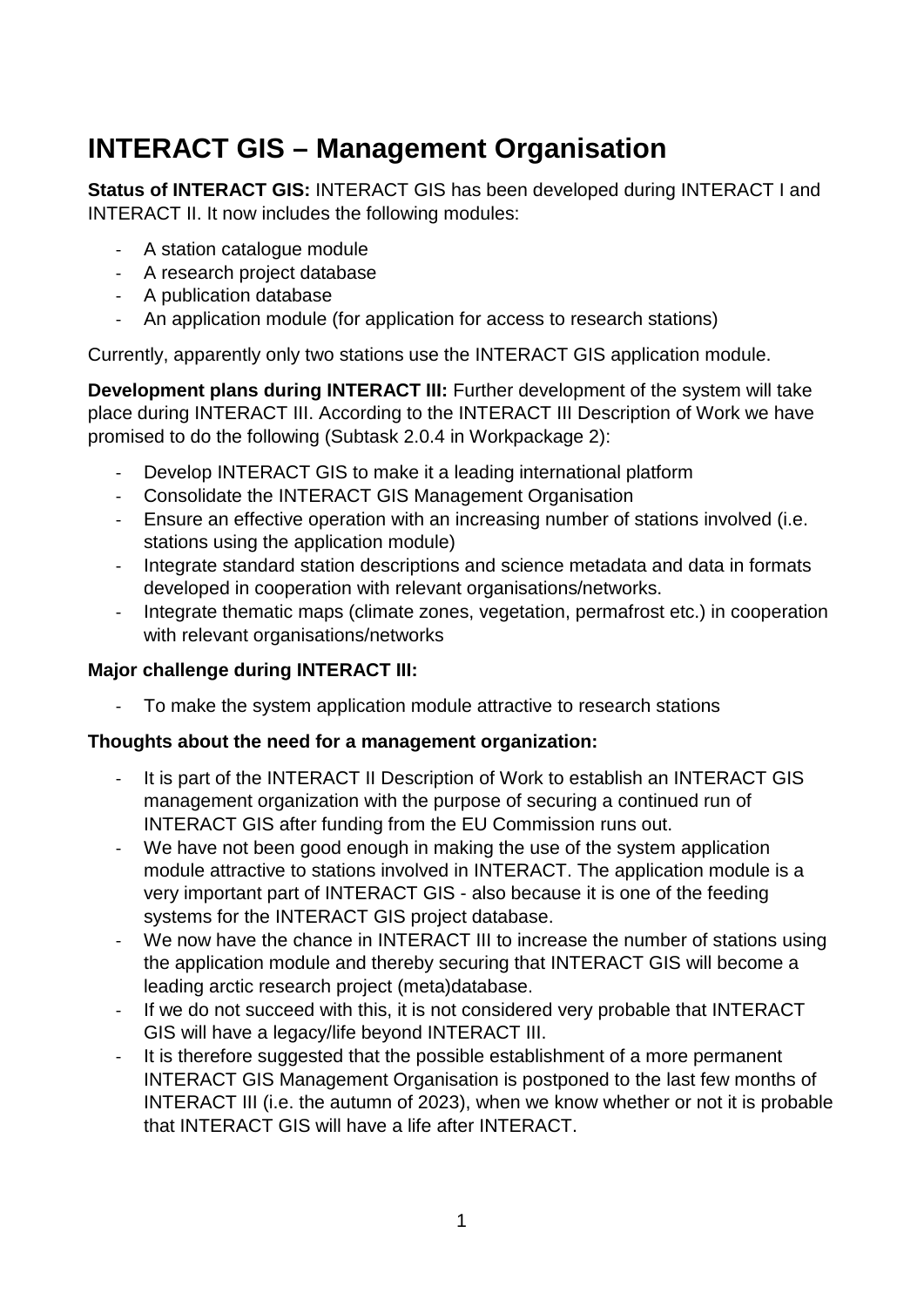# **INTERACT GIS – Management Organisation**

**Status of INTERACT GIS:** INTERACT GIS has been developed during INTERACT I and INTERACT II. It now includes the following modules:

- A station catalogue module
- A research project database
- A publication database
- An application module (for application for access to research stations)

Currently, apparently only two stations use the INTERACT GIS application module.

**Development plans during INTERACT III:** Further development of the system will take place during INTERACT III. According to the INTERACT III Description of Work we have promised to do the following (Subtask 2.0.4 in Workpackage 2):

- Develop INTERACT GIS to make it a leading international platform
- Consolidate the INTERACT GIS Management Organisation
- Ensure an effective operation with an increasing number of stations involved (i.e. stations using the application module)
- Integrate standard station descriptions and science metadata and data in formats developed in cooperation with relevant organisations/networks.
- Integrate thematic maps (climate zones, vegetation, permafrost etc.) in cooperation with relevant organisations/networks

#### **Major challenge during INTERACT III:**

- To make the system application module attractive to research stations

#### **Thoughts about the need for a management organization:**

- It is part of the INTERACT II Description of Work to establish an INTERACT GIS management organization with the purpose of securing a continued run of INTERACT GIS after funding from the EU Commission runs out.
- We have not been good enough in making the use of the system application module attractive to stations involved in INTERACT. The application module is a very important part of INTERACT GIS - also because it is one of the feeding systems for the INTERACT GIS project database.
- We now have the chance in INTERACT III to increase the number of stations using the application module and thereby securing that INTERACT GIS will become a leading arctic research project (meta)database.
- If we do not succeed with this, it is not considered very probable that INTERACT GIS will have a legacy/life beyond INTERACT III.
- It is therefore suggested that the possible establishment of a more permanent INTERACT GIS Management Organisation is postponed to the last few months of INTERACT III (i.e. the autumn of 2023), when we know whether or not it is probable that INTERACT GIS will have a life after INTERACT.